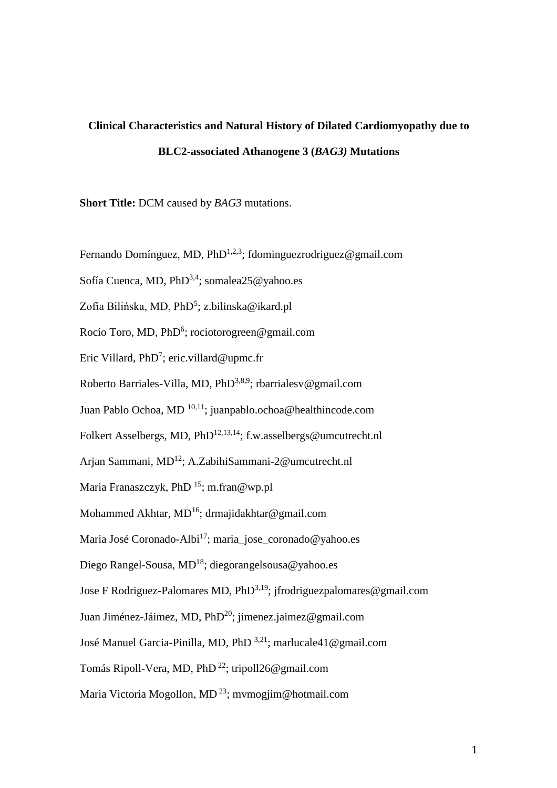# **Clinical Characteristics and Natural History of Dilated Cardiomyopathy due to BLC2-associated Athanogene 3 (***BAG3)* **Mutations**

**Short Title:** DCM caused by *BAG3* mutations.

Fernando Domínguez, MD, PhD<sup>1,2,3</sup>; fdominguezrodriguez@gmail.com

Sofía Cuenca, MD, PhD<sup>3,4</sup>; somalea25@yahoo.es

Zofia Bilińska, MD, PhD<sup>5</sup>; z.bilinska@ikard.pl

Rocío Toro, MD, PhD<sup>6</sup>; rociotorogreen@gmail.com

Eric Villard, PhD<sup>7</sup>; eric.villard@upmc.fr

Roberto Barriales-Villa, MD, PhD<sup>3,8,9</sup>; rbarrialesv@gmail.com

Juan Pablo Ochoa, MD 10,11; [juanpablo.ochoa@healthincode.com](mailto:juanpablo.ochoa@healthincode.com)

Folkert Asselbergs, MD, PhD<sup>12,13,14</sup>; f.w.asselbergs@umcutrecht.nl

Arjan Sammani, MD<sup>12</sup>; [A.ZabihiSammani-2@umcutrecht.nl](mailto:A.ZabihiSammani-2@umcutrecht.nl)

Maria Franaszczyk, PhD  $^{15}$ ; m.fran@wp.pl

Mohammed Akhtar, MD<sup>16</sup>; drmajidakhtar@gmail.com

Maria José Coronado-Albi<sup>17</sup>; maria\_jose\_coronado@yahoo.es

Diego Rangel-Sousa, MD<sup>18</sup>; diegorangelsousa@yahoo.es

Jose F Rodriguez-Palomares MD,  $PhD^{3,19}$ ; jfrodriguezpalomares@gmail.com

Juan Jiménez-Jáimez, MD, PhD<sup>20</sup>; jimenez.jaimez@gmail.com

José Manuel Garcia-Pinilla, MD, PhD 3,21; marlucale41@gmail.com

Tomás Ripoll-Vera, MD, PhD<sup>22</sup>; tripoll26@gmail.com

Maria Victoria Mogollon, MD<sup>23</sup>; mymogjim@hotmail.com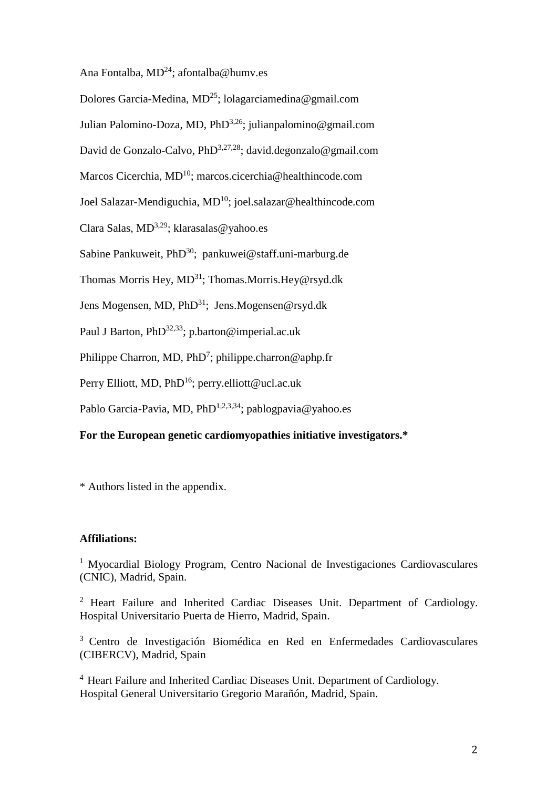Ana Fontalba,  $MD<sup>24</sup>$ ; afontalba@humv.es

Dolores Garcia-Medina,  $MD^{25}$ ; lolagarciamedina@gmail.com Julian Palomino-Doza, MD, PhD<sup>3,26</sup>; julianpalomino@gmail.com David de Gonzalo-Calvo, PhD<sup>3,27,28</sup>; david.degonzalo@gmail.com Marcos Cicerchia, MD<sup>10</sup>; marcos.cicerchia@healthincode.com Joel Salazar-Mendiguchia, MD<sup>10</sup>; joel.salazar@healthincode.com Clara Salas,  $MD^{3,29}$ ; klarasalas@yahoo.es Sabine Pankuweit, PhD<sup>30</sup>; [pankuwei@staff.uni-marburg.de](mailto:pankuwei@staff.uni-marburg.de) Thomas Morris Hey, MD<sup>31</sup>; Thomas.Morris.Hey@rsyd.dk Jens Mogensen, MD, PhD<sup>31</sup>; Jens.Mogensen@rsyd.dk Paul J Barton, PhD<sup>32,33</sup>; p.barton@imperial.ac.uk Philippe Charron, MD,  $PhD^7$ ; philippe.charron@aphp.fr Perry Elliott, MD, PhD<sup>16</sup>; perry.elliott@ucl.ac.uk Pablo Garcia-Pavia, MD, PhD<sup>1,2,3,34</sup>; pablogpavia@yahoo.es

# **For the European genetic cardiomyopathies initiative investigators.\***

\* Authors listed in the appendix.

#### **Affiliations:**

<sup>1</sup> Myocardial Biology Program, Centro Nacional de Investigaciones Cardiovasculares (CNIC), Madrid, Spain.

<sup>2</sup> Heart Failure and Inherited Cardiac Diseases Unit. Department of Cardiology. Hospital Universitario Puerta de Hierro, Madrid, Spain.

<sup>3</sup> Centro de Investigación Biomédica en Red en Enfermedades Cardiovasculares (CIBERCV), Madrid, Spain

<sup>4</sup> Heart Failure and Inherited Cardiac Diseases Unit. Department of Cardiology. Hospital General Universitario Gregorio Marañón, Madrid, Spain.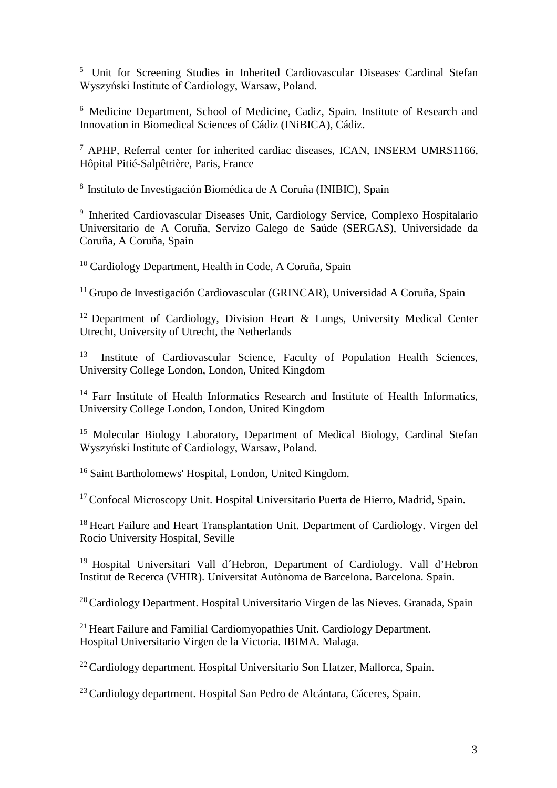<sup>5</sup> Unit for Screening Studies in Inherited Cardiovascular Diseases Cardinal Stefan Wyszyński Institute of Cardiology, Warsaw, Poland.

<sup>6</sup> Medicine Department, School of Medicine, Cadiz, Spain. Institute of Research and Innovation in Biomedical Sciences of Cádiz (INiBICA), Cádiz.

<sup>7</sup> APHP, Referral center for inherited cardiac diseases, ICAN, INSERM UMRS1166, Hôpital Pitié-Salpêtrière, Paris, France

<sup>8</sup>Instituto de Investigación Biomédica de A Coruña (INIBIC), Spain

<sup>9</sup> Inherited Cardiovascular Diseases Unit, Cardiology Service, Complexo Hospitalario Universitario de A Coruña, Servizo Galego de Saúde (SERGAS), Universidade da Coruña, A Coruña, Spain

<sup>10</sup> Cardiology Department, Health in Code, A Coruña, Spain

<sup>11</sup> Grupo de Investigación Cardiovascular (GRINCAR), Universidad A Coruña, Spain

<sup>12</sup> Department of Cardiology, Division Heart & Lungs, University Medical Center Utrecht, University of Utrecht, the Netherlands

Institute of Cardiovascular Science, Faculty of Population Health Sciences, University College London, London, United Kingdom

<sup>14</sup> Farr Institute of Health Informatics Research and Institute of Health Informatics, University College London, London, United Kingdom

<sup>15</sup> Molecular Biology Laboratory, Department of Medical Biology, Cardinal Stefan Wyszyński Institute of Cardiology, Warsaw, Poland.

<sup>16</sup> Saint Bartholomews' Hospital, London, United Kingdom.

<sup>17</sup> Confocal Microscopy Unit. Hospital Universitario Puerta de Hierro, Madrid, Spain.

<sup>18</sup> Heart Failure and Heart Transplantation Unit. Department of Cardiology. Virgen del Rocio University Hospital, Seville

<sup>19</sup> Hospital Universitari Vall d'Hebron, Department of Cardiology. Vall d'Hebron Institut de Recerca (VHIR). Universitat Autònoma de Barcelona. Barcelona. Spain.

<sup>20</sup> Cardiology Department. Hospital Universitario Virgen de las Nieves. Granada, Spain

 $^{21}$  Heart Failure and Familial Cardiomyopathies Unit. Cardiology Department. Hospital Universitario Virgen de la Victoria. IBIMA. Malaga.

<sup>22</sup> Cardiology department. Hospital Universitario Son Llatzer, Mallorca, Spain.

<sup>23</sup> Cardiology department. Hospital San Pedro de Alcántara, Cáceres, Spain.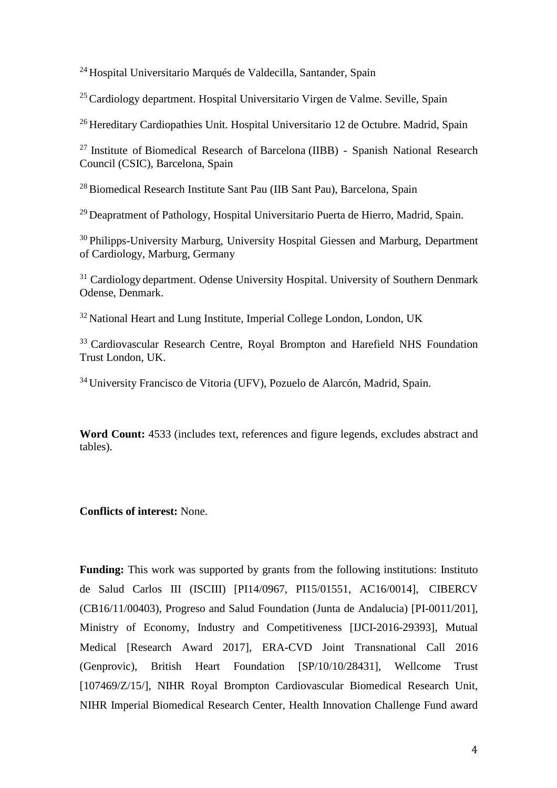<sup>24</sup> Hospital Universitario Marqués de Valdecilla, Santander, Spain

<sup>25</sup> Cardiology department. Hospital Universitario Virgen de Valme. Seville, Spain

<sup>26</sup> Hereditary Cardiopathies Unit. Hospital Universitario 12 de Octubre. Madrid, Spain

<sup>27</sup> Institute of Biomedical Research of Barcelona (IIBB) - Spanish National Research Council (CSIC), Barcelona, Spain

<sup>28</sup> Biomedical Research Institute Sant Pau (IIB Sant Pau), Barcelona, Spain

<sup>29</sup> Deapratment of Pathology, Hospital Universitario Puerta de Hierro, Madrid, Spain.

<sup>30</sup> Philipps-University Marburg, University Hospital Giessen and Marburg, Department of Cardiology, Marburg, Germany

<sup>31</sup> Cardiology department. Odense University Hospital. University of Southern Denmark Odense, Denmark.

<sup>32</sup> National Heart and Lung Institute, Imperial College London, London, UK

<sup>33</sup> Cardiovascular Research Centre, Royal Brompton and Harefield NHS Foundation Trust London, UK.

<sup>34</sup>University Francisco de Vitoria (UFV), Pozuelo de Alarcón, Madrid, Spain.

**Word Count:** 4533 (includes text, references and figure legends, excludes abstract and tables).

**Conflicts of interest:** None.

**Funding:** This work was supported by grants from the following institutions: Instituto de Salud Carlos III (ISCIII) [PI14/0967, PI15/01551, AC16/0014], CIBERCV (CB16/11/00403), Progreso and Salud Foundation (Junta de Andalucia) [PI-0011/201], Ministry of Economy, Industry and Competitiveness [IJCI-2016-29393], Mutual Medical [Research Award 2017], ERA-CVD Joint Transnational Call 2016 (Genprovic), British Heart Foundation [SP/10/10/28431], Wellcome Trust [107469/Z/15/], NIHR Royal Brompton Cardiovascular Biomedical Research Unit, NIHR Imperial Biomedical Research Center, Health Innovation Challenge Fund award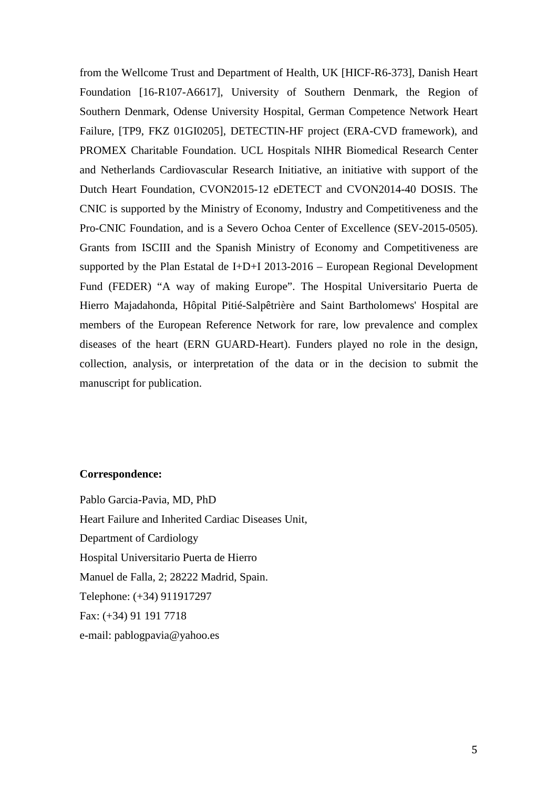from the Wellcome Trust and Department of Health, UK [HICF-R6-373], Danish Heart Foundation [16-R107-A6617], University of Southern Denmark, the Region of Southern Denmark, Odense University Hospital, German Competence Network Heart Failure, [TP9, FKZ 01GI0205], DETECTIN-HF project (ERA-CVD framework), and PROMEX Charitable Foundation. UCL Hospitals NIHR Biomedical Research Center and Netherlands Cardiovascular Research Initiative, an initiative with support of the Dutch Heart Foundation, CVON2015-12 eDETECT and CVON2014-40 DOSIS. The CNIC is supported by the Ministry of Economy, Industry and Competitiveness and the Pro-CNIC Foundation, and is a Severo Ochoa Center of Excellence (SEV-2015-0505). Grants from ISCIII and the Spanish Ministry of Economy and Competitiveness are supported by the Plan Estatal de I+D+I 2013-2016 – European Regional Development Fund (FEDER) "A way of making Europe". The Hospital Universitario Puerta de Hierro Majadahonda, Hôpital Pitié-Salpêtrière and Saint Bartholomews' Hospital are members of the European Reference Network for rare, low prevalence and complex diseases of the heart (ERN GUARD-Heart). Funders played no role in the design, collection, analysis, or interpretation of the data or in the decision to submit the manuscript for publication.

## **Correspondence:**

Pablo Garcia-Pavia, MD, PhD Heart Failure and Inherited Cardiac Diseases Unit, Department of Cardiology Hospital Universitario Puerta de Hierro Manuel de Falla, 2; 28222 Madrid, Spain. Telephone: (+34) 911917297 Fax: (+34) 91 191 7718 e-mail: pablogpavia@yahoo.es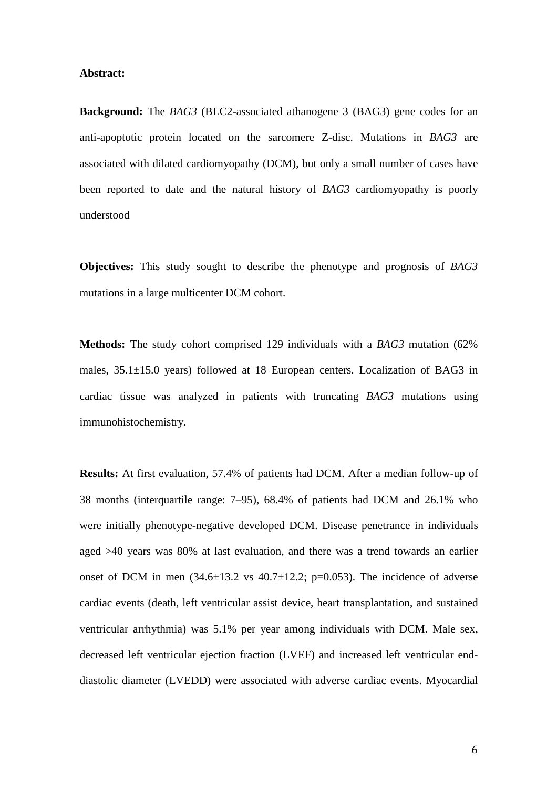#### **Abstract:**

**Background:** The *BAG3* (BLC2-associated athanogene 3 (BAG3) gene codes for an anti-apoptotic protein located on the sarcomere Z-disc. Mutations in *BAG3* are associated with dilated cardiomyopathy (DCM), but only a small number of cases have been reported to date and the natural history of *BAG3* cardiomyopathy is poorly understood

**Objectives:** This study sought to describe the phenotype and prognosis of *BAG3* mutations in a large multicenter DCM cohort.

**Methods:** The study cohort comprised 129 individuals with a *BAG3* mutation (62% males, 35.1±15.0 years) followed at 18 European centers. Localization of BAG3 in cardiac tissue was analyzed in patients with truncating *BAG3* mutations using immunohistochemistry.

**Results:** At first evaluation, 57.4% of patients had DCM. After a median follow-up of 38 months (interquartile range: 7–95), 68.4% of patients had DCM and 26.1% who were initially phenotype-negative developed DCM. Disease penetrance in individuals aged >40 years was 80% at last evaluation, and there was a trend towards an earlier onset of DCM in men  $(34.6\pm13.2 \text{ vs } 40.7\pm12.2; \text{ p=0.053}).$  The incidence of adverse cardiac events (death, left ventricular assist device, heart transplantation, and sustained ventricular arrhythmia) was 5.1% per year among individuals with DCM. Male sex, decreased left ventricular ejection fraction (LVEF) and increased left ventricular enddiastolic diameter (LVEDD) were associated with adverse cardiac events. Myocardial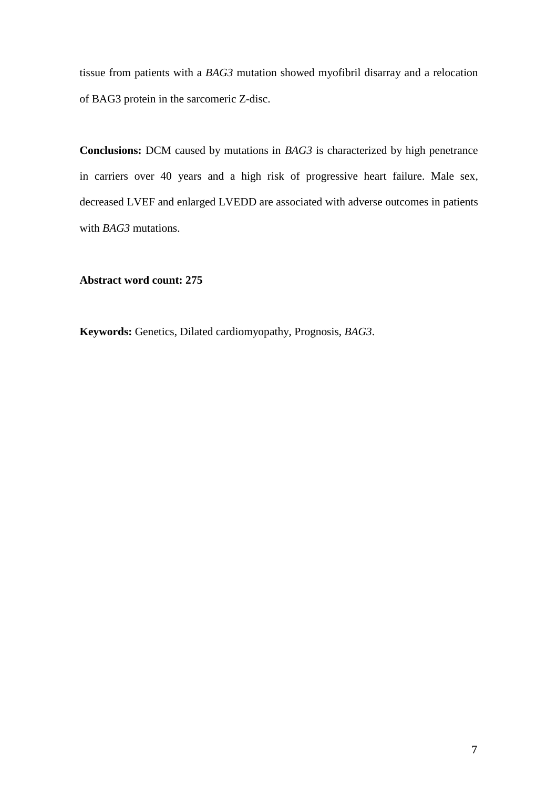tissue from patients with a *BAG3* mutation showed myofibril disarray and a relocation of BAG3 protein in the sarcomeric Z-disc.

**Conclusions:** DCM caused by mutations in *BAG3* is characterized by high penetrance in carriers over 40 years and a high risk of progressive heart failure. Male sex, decreased LVEF and enlarged LVEDD are associated with adverse outcomes in patients with *BAG3* mutations.

**Abstract word count: 275** 

**Keywords:** Genetics, Dilated cardiomyopathy, Prognosis, *BAG3*.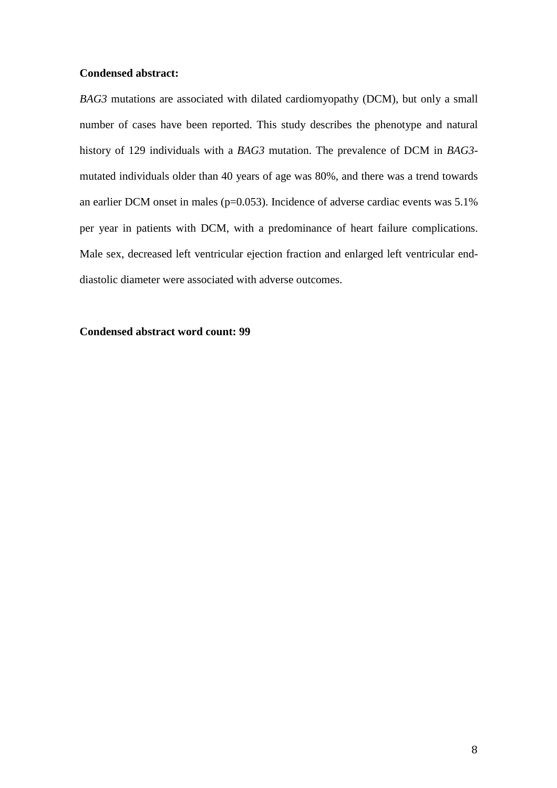# **Condensed abstract:**

*BAG3* mutations are associated with dilated cardiomyopathy (DCM), but only a small number of cases have been reported. This study describes the phenotype and natural history of 129 individuals with a *BAG3* mutation. The prevalence of DCM in *BAG3* mutated individuals older than 40 years of age was 80%, and there was a trend towards an earlier DCM onset in males ( $p=0.053$ ). Incidence of adverse cardiac events was 5.1% per year in patients with DCM, with a predominance of heart failure complications. Male sex, decreased left ventricular ejection fraction and enlarged left ventricular enddiastolic diameter were associated with adverse outcomes.

# **Condensed abstract word count: 99**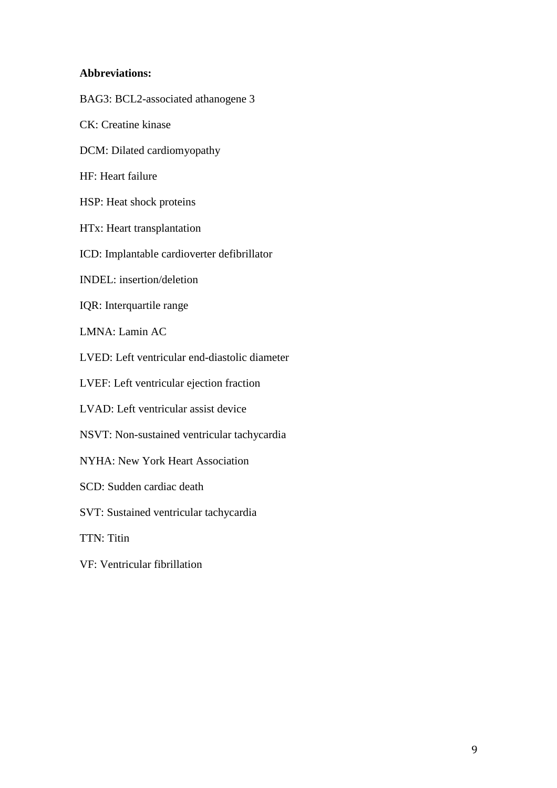# **Abbreviations:**

BAG3: BCL2-associated athanogene 3 CK: Creatine kinase DCM: Dilated cardiomyopathy HF: Heart failure HSP: Heat shock proteins HTx: Heart transplantation ICD: Implantable cardioverter defibrillator INDEL: insertion/deletion IQR: Interquartile range LMNA: Lamin AC LVED: Left ventricular end-diastolic diameter LVEF: Left ventricular ejection fraction LVAD: Left ventricular assist device NSVT: Non-sustained ventricular tachycardia NYHA: New York Heart Association SCD: Sudden cardiac death SVT: Sustained ventricular tachycardia TTN: Titin VF: Ventricular fibrillation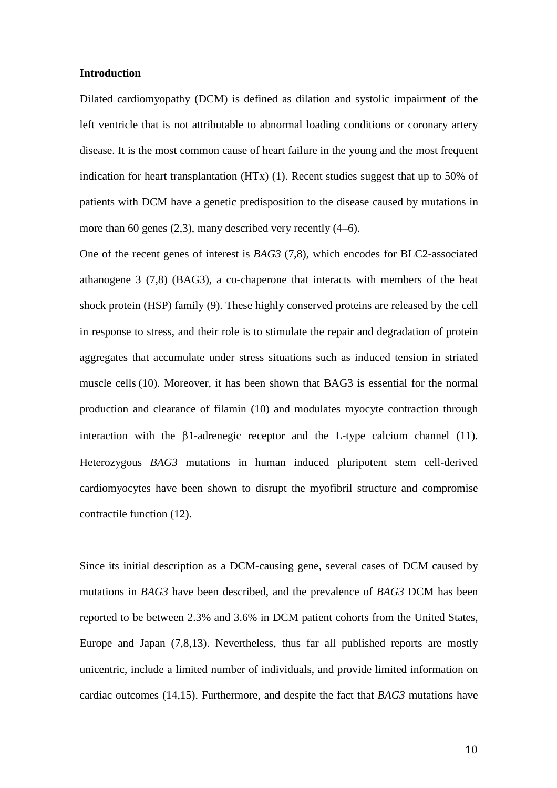#### **Introduction**

Dilated cardiomyopathy (DCM) is defined as dilation and systolic impairment of the left ventricle that is not attributable to abnormal loading conditions or coronary artery disease. It is the most common cause of heart failure in the young and the most frequent indication for heart transplantation (HTx) (1). Recent studies suggest that up to 50% of patients with DCM have a genetic predisposition to the disease caused by mutations in more than 60 genes (2,3), many described very recently (4–6).

One of the recent genes of interest is *BAG3* (7,8), which encodes for BLC2-associated athanogene 3 (7,8) (BAG3), a co-chaperone that interacts with members of the heat shock protein (HSP) family (9). These highly conserved proteins are released by the cell in response to stress, and their role is to stimulate the repair and degradation of protein aggregates that accumulate under stress situations such as induced tension in striated muscle cells (10). Moreover, it has been shown that BAG3 is essential for the normal production and clearance of filamin (10) and modulates myocyte contraction through interaction with the  $\beta$ 1-adrenegic receptor and the L-type calcium channel (11). Heterozygous *BAG3* mutations in human induced pluripotent stem cell-derived cardiomyocytes have been shown to disrupt the myofibril structure and compromise contractile function (12).

Since its initial description as a DCM-causing gene, several cases of DCM caused by mutations in *BAG3* have been described, and the prevalence of *BAG3* DCM has been reported to be between 2.3% and 3.6% in DCM patient cohorts from the United States, Europe and Japan (7,8,13). Nevertheless, thus far all published reports are mostly unicentric, include a limited number of individuals, and provide limited information on cardiac outcomes (14,15). Furthermore, and despite the fact that *BAG3* mutations have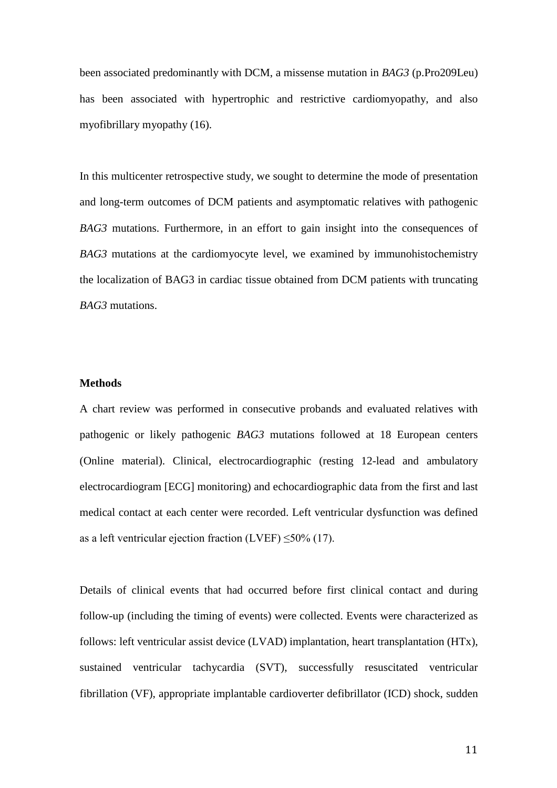been associated predominantly with DCM, a missense mutation in *BAG3* (p.Pro209Leu) has been associated with hypertrophic and restrictive cardiomyopathy, and also myofibrillary myopathy (16).

In this multicenter retrospective study, we sought to determine the mode of presentation and long-term outcomes of DCM patients and asymptomatic relatives with pathogenic *BAG3* mutations. Furthermore, in an effort to gain insight into the consequences of *BAG3* mutations at the cardiomyocyte level, we examined by immunohistochemistry the localization of BAG3 in cardiac tissue obtained from DCM patients with truncating *BAG3* mutations.

## **Methods**

A chart review was performed in consecutive probands and evaluated relatives with pathogenic or likely pathogenic *BAG3* mutations followed at 18 European centers (Online material). Clinical, electrocardiographic (resting 12-lead and ambulatory electrocardiogram [ECG] monitoring) and echocardiographic data from the first and last medical contact at each center were recorded. Left ventricular dysfunction was defined as a left ventricular ejection fraction (LVEF)  $\leq$ 50% (17).

Details of clinical events that had occurred before first clinical contact and during follow-up (including the timing of events) were collected. Events were characterized as follows: left ventricular assist device (LVAD) implantation, heart transplantation (HTx), sustained ventricular tachycardia (SVT), successfully resuscitated ventricular fibrillation (VF), appropriate implantable cardioverter defibrillator (ICD) shock, sudden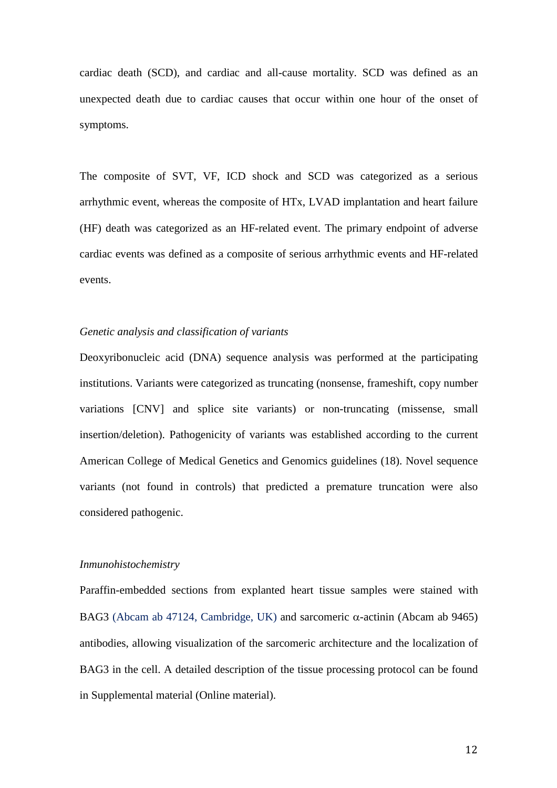cardiac death (SCD), and cardiac and all-cause mortality. SCD was defined as an unexpected death due to cardiac causes that occur within one hour of the onset of symptoms.

The composite of SVT, VF, ICD shock and SCD was categorized as a serious arrhythmic event, whereas the composite of HTx, LVAD implantation and heart failure (HF) death was categorized as an HF-related event. The primary endpoint of adverse cardiac events was defined as a composite of serious arrhythmic events and HF-related events.

#### *Genetic analysis and classification of variants*

Deoxyribonucleic acid (DNA) sequence analysis was performed at the participating institutions. Variants were categorized as truncating (nonsense, frameshift, copy number variations [CNV] and splice site variants) or non-truncating (missense, small insertion/deletion). Pathogenicity of variants was established according to the current American College of Medical Genetics and Genomics guidelines (18). Novel sequence variants (not found in controls) that predicted a premature truncation were also considered pathogenic.

#### *Inmunohistochemistry*

Paraffin-embedded sections from explanted heart tissue samples were stained with BAG3 (Abcam ab 47124, Cambridge, UK) and sarcomeric  $\alpha$ -actinin (Abcam ab 9465) antibodies, allowing visualization of the sarcomeric architecture and the localization of BAG3 in the cell. A detailed description of the tissue processing protocol can be found in Supplemental material (Online material).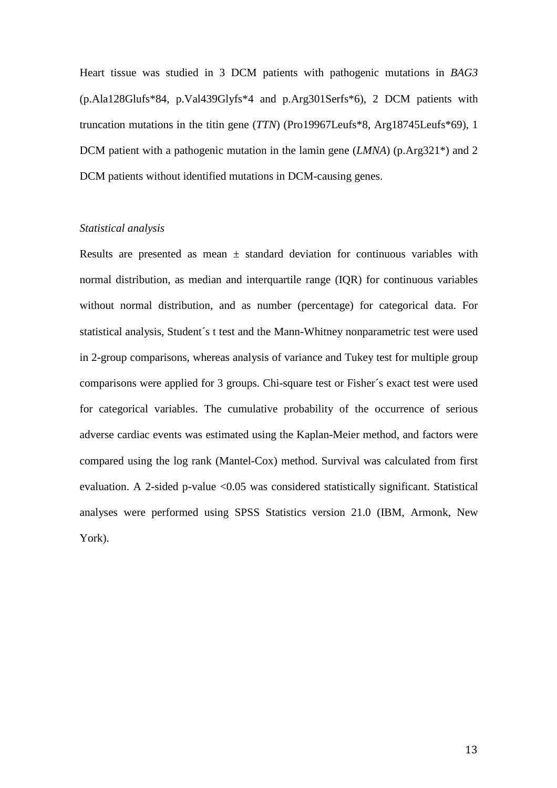Heart tissue was studied in 3 DCM patients with pathogenic mutations in *BAG3* (p.Ala128Glufs\*84, p.Val439Glyfs\*4 and p.Arg301Serfs\*6), 2 DCM patients with truncation mutations in the titin gene (*TTN*) (Pro19967Leufs\*8, Arg18745Leufs\*69), 1 DCM patient with a pathogenic mutation in the lamin gene (*LMNA*) (p.Arg321\*) and 2 DCM patients without identified mutations in DCM-causing genes.

# *Statistical analysis*

Results are presented as mean  $\pm$  standard deviation for continuous variables with normal distribution, as median and interquartile range (IQR) for continuous variables without normal distribution, and as number (percentage) for categorical data. For statistical analysis, Student´s t test and the Mann-Whitney nonparametric test were used in 2-group comparisons, whereas analysis of variance and Tukey test for multiple group comparisons were applied for 3 groups. Chi-square test or Fisher´s exact test were used for categorical variables. The cumulative probability of the occurrence of serious adverse cardiac events was estimated using the Kaplan-Meier method, and factors were compared using the log rank (Mantel-Cox) method. Survival was calculated from first evaluation. A 2-sided p-value <0.05 was considered statistically significant. Statistical analyses were performed using SPSS Statistics version 21.0 (IBM, Armonk, New York).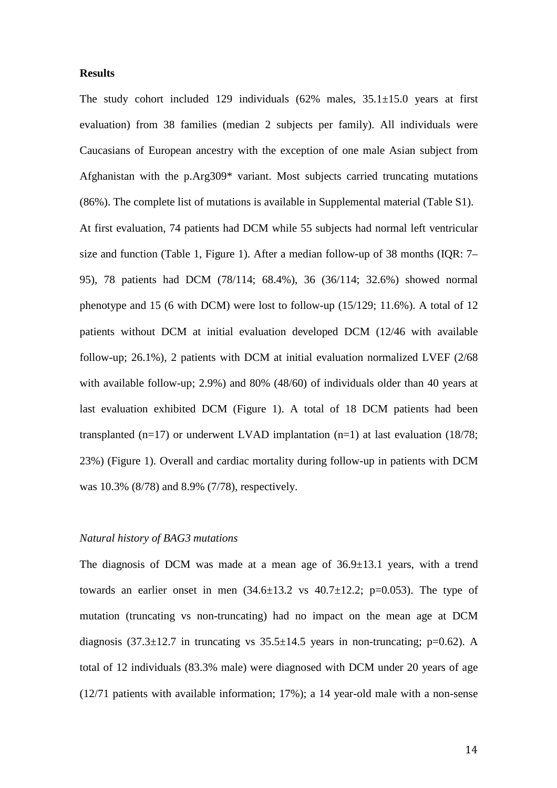## **Results**

The study cohort included 129 individuals  $(62\%$  males,  $35.1\pm15.0$  years at first evaluation) from 38 families (median 2 subjects per family). All individuals were Caucasians of European ancestry with the exception of one male Asian subject from Afghanistan with the p.Arg309\* variant. Most subjects carried truncating mutations (86%). The complete list of mutations is available in Supplemental material (Table S1). At first evaluation, 74 patients had DCM while 55 subjects had normal left ventricular size and function (Table 1, Figure 1). After a median follow-up of 38 months (IQR: 7– 95), 78 patients had DCM (78/114; 68.4%), 36 (36/114; 32.6%) showed normal phenotype and 15 (6 with DCM) were lost to follow-up (15/129; 11.6%). A total of 12 patients without DCM at initial evaluation developed DCM (12/46 with available follow-up; 26.1%), 2 patients with DCM at initial evaluation normalized LVEF (2/68 with available follow-up; 2.9%) and 80% (48/60) of individuals older than 40 years at last evaluation exhibited DCM (Figure 1). A total of 18 DCM patients had been transplanted (n=17) or underwent LVAD implantation (n=1) at last evaluation (18/78; 23%) (Figure 1). Overall and cardiac mortality during follow-up in patients with DCM was 10.3% (8/78) and 8.9% (7/78), respectively.

## *Natural history of BAG3 mutations*

The diagnosis of DCM was made at a mean age of  $36.9 \pm 13.1$  years, with a trend towards an earlier onset in men  $(34.6\pm13.2 \text{ vs } 40.7\pm12.2; \text{ p} = 0.053)$ . The type of mutation (truncating vs non-truncating) had no impact on the mean age at DCM diagnosis  $(37.3 \pm 12.7)$  in truncating vs  $35.5 \pm 14.5$  years in non-truncating; p=0.62). A total of 12 individuals (83.3% male) were diagnosed with DCM under 20 years of age (12/71 patients with available information; 17%); a 14 year-old male with a non-sense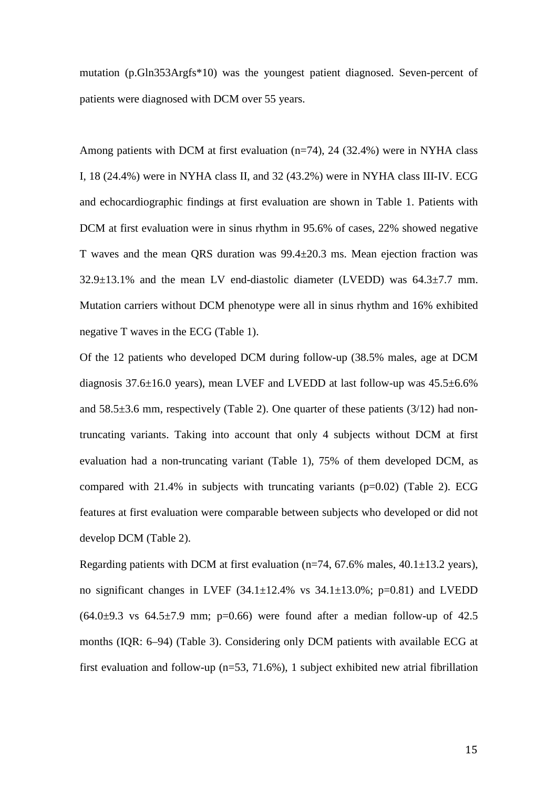mutation (p.Gln353Argfs\*10) was the youngest patient diagnosed. Seven-percent of patients were diagnosed with DCM over 55 years.

Among patients with DCM at first evaluation (n=74), 24 (32.4%) were in NYHA class I, 18 (24.4%) were in NYHA class II, and 32 (43.2%) were in NYHA class III-IV. ECG and echocardiographic findings at first evaluation are shown in Table 1. Patients with DCM at first evaluation were in sinus rhythm in 95.6% of cases, 22% showed negative T waves and the mean QRS duration was 99.4±20.3 ms. Mean ejection fraction was  $32.9\pm13.1\%$  and the mean LV end-diastolic diameter (LVEDD) was  $64.3\pm7.7$  mm. Mutation carriers without DCM phenotype were all in sinus rhythm and 16% exhibited negative T waves in the ECG (Table 1).

Of the 12 patients who developed DCM during follow-up (38.5% males, age at DCM diagnosis 37.6±16.0 years), mean LVEF and LVEDD at last follow-up was 45.5±6.6% and  $58.5\pm3.6$  mm, respectively (Table 2). One quarter of these patients (3/12) had nontruncating variants. Taking into account that only 4 subjects without DCM at first evaluation had a non-truncating variant (Table 1), 75% of them developed DCM, as compared with  $21.4\%$  in subjects with truncating variants ( $p=0.02$ ) (Table 2). ECG features at first evaluation were comparable between subjects who developed or did not develop DCM (Table 2).

Regarding patients with DCM at first evaluation ( $n=74$ , 67.6% males, 40.1 $\pm$ 13.2 years), no significant changes in LVEF  $(34.1 \pm 12.4\%$  vs  $34.1 \pm 13.0\%$ ; p=0.81) and LVEDD  $(64.0\pm9.3 \text{ vs } 64.5\pm7.9 \text{ mm}; \text{ p=0.66})$  were found after a median follow-up of 42.5 months (IQR: 6–94) (Table 3). Considering only DCM patients with available ECG at first evaluation and follow-up (n=53, 71.6%), 1 subject exhibited new atrial fibrillation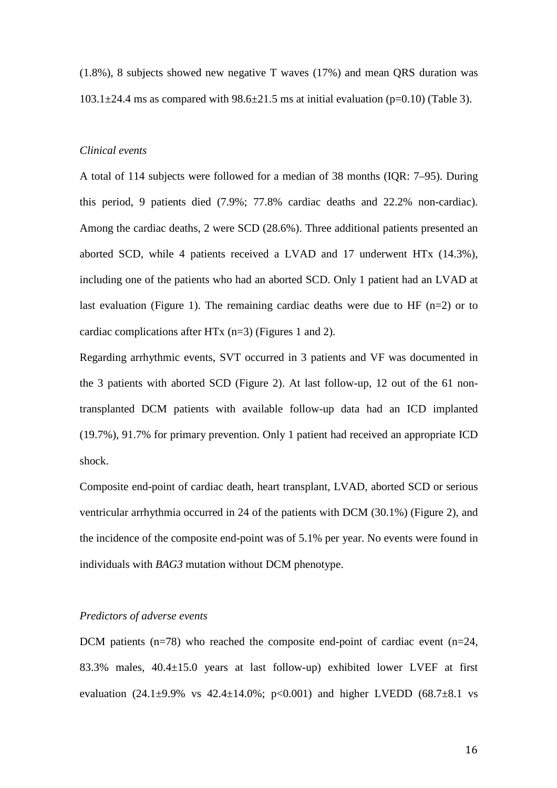(1.8%), 8 subjects showed new negative T waves (17%) and mean QRS duration was  $103.1\pm24.4$  ms as compared with  $98.6\pm21.5$  ms at initial evaluation (p=0.10) (Table 3).

## *Clinical events*

A total of 114 subjects were followed for a median of 38 months (IQR: 7–95). During this period, 9 patients died (7.9%; 77.8% cardiac deaths and 22.2% non-cardiac). Among the cardiac deaths, 2 were SCD (28.6%). Three additional patients presented an aborted SCD, while 4 patients received a LVAD and 17 underwent HTx (14.3%), including one of the patients who had an aborted SCD. Only 1 patient had an LVAD at last evaluation (Figure 1). The remaining cardiac deaths were due to HF  $(n=2)$  or to cardiac complications after HTx  $(n=3)$  (Figures 1 and 2).

Regarding arrhythmic events, SVT occurred in 3 patients and VF was documented in the 3 patients with aborted SCD (Figure 2). At last follow-up, 12 out of the 61 nontransplanted DCM patients with available follow-up data had an ICD implanted (19.7%), 91.7% for primary prevention. Only 1 patient had received an appropriate ICD shock.

Composite end-point of cardiac death, heart transplant, LVAD, aborted SCD or serious ventricular arrhythmia occurred in 24 of the patients with DCM (30.1%) (Figure 2), and the incidence of the composite end-point was of 5.1% per year. No events were found in individuals with *BAG3* mutation without DCM phenotype.

# *Predictors of adverse events*

DCM patients  $(n=78)$  who reached the composite end-point of cardiac event  $(n=24,$ 83.3% males, 40.4±15.0 years at last follow-up) exhibited lower LVEF at first evaluation  $(24.1\pm9.9\%$  vs  $42.4\pm14.0\%$ ;  $p<0.001$ ) and higher LVEDD  $(68.7\pm8.1$  vs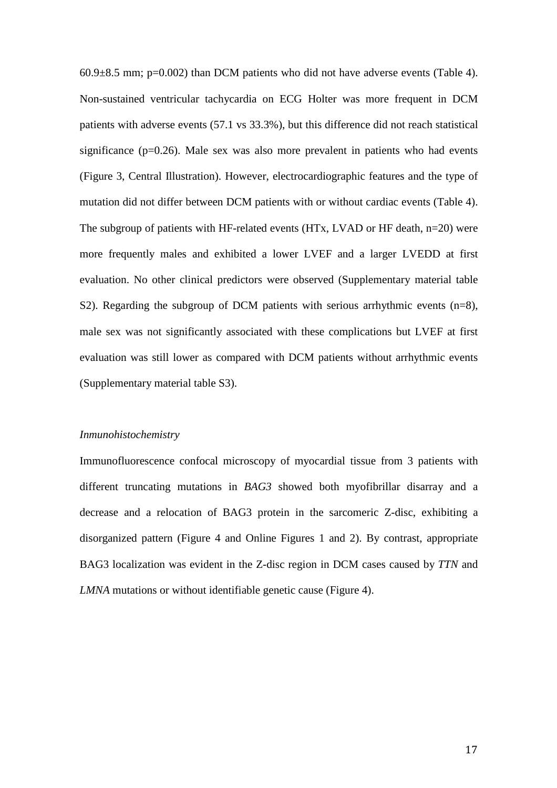$60.9\pm8.5$  mm; p=0.002) than DCM patients who did not have adverse events (Table 4). Non-sustained ventricular tachycardia on ECG Holter was more frequent in DCM patients with adverse events (57.1 vs 33.3%), but this difference did not reach statistical significance ( $p=0.26$ ). Male sex was also more prevalent in patients who had events (Figure 3, Central Illustration). However, electrocardiographic features and the type of mutation did not differ between DCM patients with or without cardiac events (Table 4). The subgroup of patients with HF-related events  $(HTx, LVAD)$  or HF death, n=20) were more frequently males and exhibited a lower LVEF and a larger LVEDD at first evaluation. No other clinical predictors were observed (Supplementary material table S2). Regarding the subgroup of DCM patients with serious arrhythmic events (n=8), male sex was not significantly associated with these complications but LVEF at first evaluation was still lower as compared with DCM patients without arrhythmic events (Supplementary material table S3).

#### *Inmunohistochemistry*

Immunofluorescence confocal microscopy of myocardial tissue from 3 patients with different truncating mutations in *BAG3* showed both myofibrillar disarray and a decrease and a relocation of BAG3 protein in the sarcomeric Z-disc, exhibiting a disorganized pattern (Figure 4 and Online Figures 1 and 2). By contrast, appropriate BAG3 localization was evident in the Z-disc region in DCM cases caused by *TTN* and *LMNA* mutations or without identifiable genetic cause (Figure 4).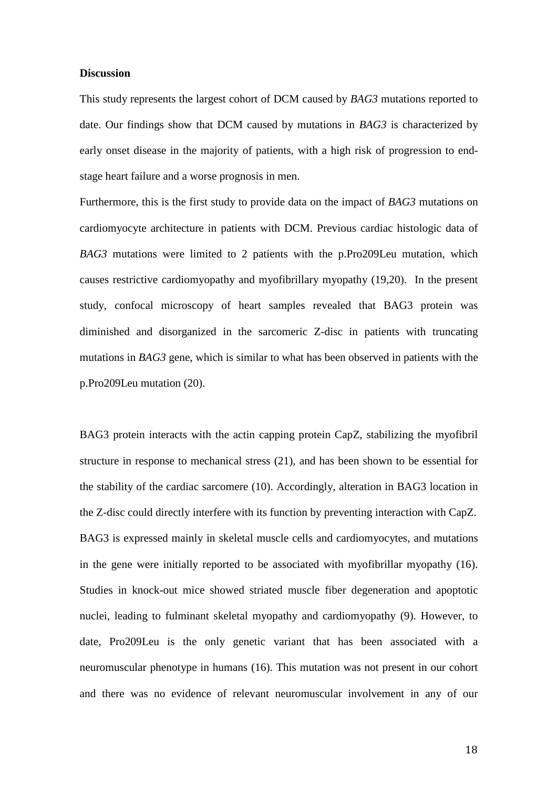#### **Discussion**

This study represents the largest cohort of DCM caused by *BAG3* mutations reported to date. Our findings show that DCM caused by mutations in *BAG3* is characterized by early onset disease in the majority of patients, with a high risk of progression to endstage heart failure and a worse prognosis in men.

Furthermore, this is the first study to provide data on the impact of *BAG3* mutations on cardiomyocyte architecture in patients with DCM. Previous cardiac histologic data of *BAG3* mutations were limited to 2 patients with the p.Pro209Leu mutation, which causes restrictive cardiomyopathy and myofibrillary myopathy (19,20). In the present study, confocal microscopy of heart samples revealed that BAG3 protein was diminished and disorganized in the sarcomeric Z-disc in patients with truncating mutations in *BAG3* gene, which is similar to what has been observed in patients with the p.Pro209Leu mutation (20).

BAG3 protein interacts with the actin capping protein CapZ, stabilizing the myofibril structure in response to mechanical stress (21), and has been shown to be essential for the stability of the cardiac sarcomere (10). Accordingly, alteration in BAG3 location in the Z-disc could directly interfere with its function by preventing interaction with CapZ. BAG3 is expressed mainly in skeletal muscle cells and cardiomyocytes, and mutations in the gene were initially reported to be associated with myofibrillar myopathy (16). Studies in knock-out mice showed striated muscle fiber degeneration and apoptotic nuclei, leading to fulminant skeletal myopathy and cardiomyopathy (9). However, to date, Pro209Leu is the only genetic variant that has been associated with a neuromuscular phenotype in humans (16). This mutation was not present in our cohort and there was no evidence of relevant neuromuscular involvement in any of our

18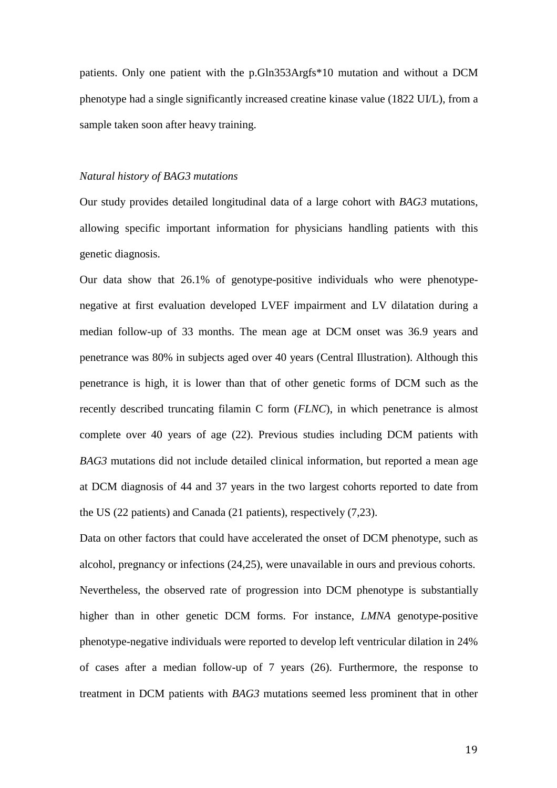patients. Only one patient with the p.Gln353Argfs\*10 mutation and without a DCM phenotype had a single significantly increased creatine kinase value (1822 UI/L), from a sample taken soon after heavy training.

#### *Natural history of BAG3 mutations*

Our study provides detailed longitudinal data of a large cohort with *BAG3* mutations, allowing specific important information for physicians handling patients with this genetic diagnosis.

Our data show that 26.1% of genotype-positive individuals who were phenotypenegative at first evaluation developed LVEF impairment and LV dilatation during a median follow-up of 33 months. The mean age at DCM onset was 36.9 years and penetrance was 80% in subjects aged over 40 years (Central Illustration). Although this penetrance is high, it is lower than that of other genetic forms of DCM such as the recently described truncating filamin C form (*FLNC*), in which penetrance is almost complete over 40 years of age (22). Previous studies including DCM patients with *BAG3* mutations did not include detailed clinical information, but reported a mean age at DCM diagnosis of 44 and 37 years in the two largest cohorts reported to date from the US (22 patients) and Canada (21 patients), respectively (7,23).

Data on other factors that could have accelerated the onset of DCM phenotype, such as alcohol, pregnancy or infections (24,25), were unavailable in ours and previous cohorts. Nevertheless, the observed rate of progression into DCM phenotype is substantially higher than in other genetic DCM forms. For instance, *LMNA* genotype-positive phenotype-negative individuals were reported to develop left ventricular dilation in 24% of cases after a median follow-up of 7 years (26). Furthermore, the response to treatment in DCM patients with *BAG3* mutations seemed less prominent that in other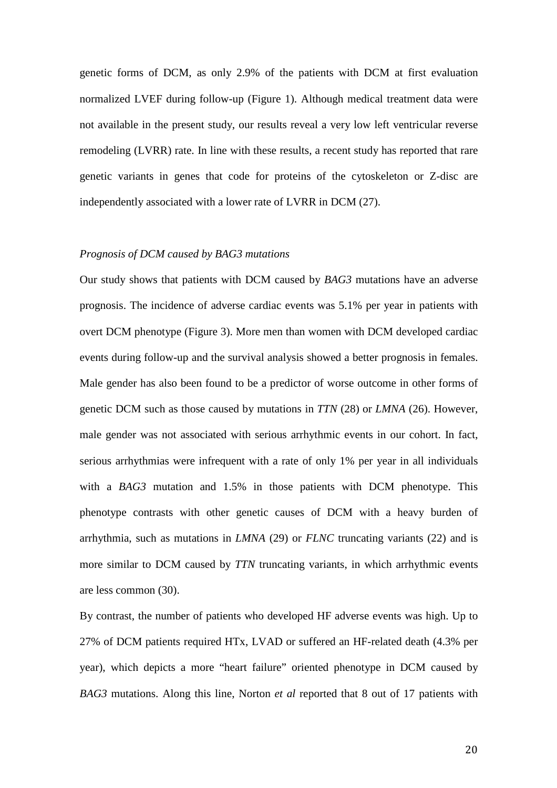genetic forms of DCM, as only 2.9% of the patients with DCM at first evaluation normalized LVEF during follow-up (Figure 1). Although medical treatment data were not available in the present study, our results reveal a very low left ventricular reverse remodeling (LVRR) rate. In line with these results, a recent study has reported that rare genetic variants in genes that code for proteins of the cytoskeleton or Z-disc are independently associated with a lower rate of LVRR in DCM (27).

#### *Prognosis of DCM caused by BAG3 mutations*

Our study shows that patients with DCM caused by *BAG3* mutations have an adverse prognosis. The incidence of adverse cardiac events was 5.1% per year in patients with overt DCM phenotype (Figure 3). More men than women with DCM developed cardiac events during follow-up and the survival analysis showed a better prognosis in females. Male gender has also been found to be a predictor of worse outcome in other forms of genetic DCM such as those caused by mutations in *TTN* (28) or *LMNA* (26). However, male gender was not associated with serious arrhythmic events in our cohort. In fact, serious arrhythmias were infrequent with a rate of only 1% per year in all individuals with a *BAG3* mutation and 1.5% in those patients with DCM phenotype. This phenotype contrasts with other genetic causes of DCM with a heavy burden of arrhythmia, such as mutations in *LMNA* (29) or *FLNC* truncating variants (22) and is more similar to DCM caused by *TTN* truncating variants, in which arrhythmic events are less common (30).

By contrast, the number of patients who developed HF adverse events was high. Up to 27% of DCM patients required HTx, LVAD or suffered an HF-related death (4.3% per year), which depicts a more "heart failure" oriented phenotype in DCM caused by *BAG3* mutations. Along this line, Norton *et al* reported that 8 out of 17 patients with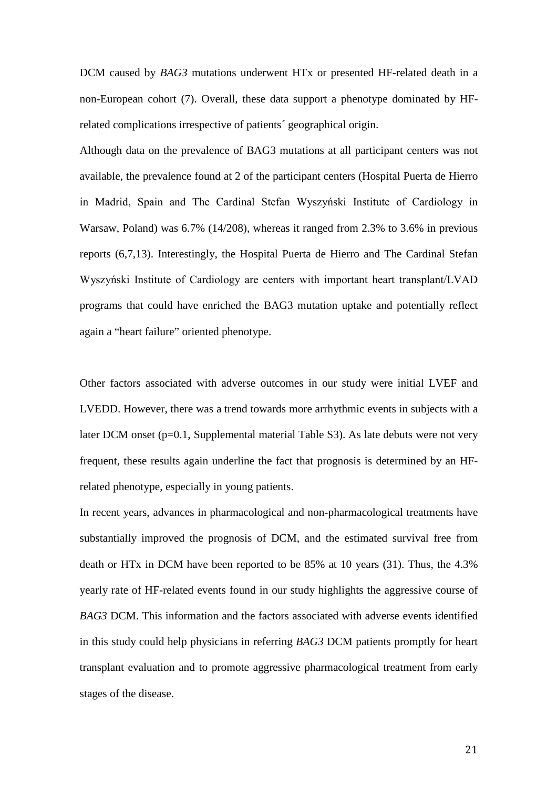DCM caused by *BAG3* mutations underwent HTx or presented HF-related death in a non-European cohort (7). Overall, these data support a phenotype dominated by HFrelated complications irrespective of patients´ geographical origin.

Although data on the prevalence of BAG3 mutations at all participant centers was not available, the prevalence found at 2 of the participant centers (Hospital Puerta de Hierro in Madrid, Spain and The Cardinal Stefan Wyszyński Institute of Cardiology in Warsaw, Poland) was 6.7% (14/208), whereas it ranged from 2.3% to 3.6% in previous reports (6,7,13). Interestingly, the Hospital Puerta de Hierro and The Cardinal Stefan Wyszyński Institute of Cardiology are centers with important heart transplant/LVAD programs that could have enriched the BAG3 mutation uptake and potentially reflect again a "heart failure" oriented phenotype.

Other factors associated with adverse outcomes in our study were initial LVEF and LVEDD. However, there was a trend towards more arrhythmic events in subjects with a later DCM onset  $(p=0.1,$  Supplemental material Table S3). As late debuts were not very frequent, these results again underline the fact that prognosis is determined by an HFrelated phenotype, especially in young patients.

In recent years, advances in pharmacological and non-pharmacological treatments have substantially improved the prognosis of DCM, and the estimated survival free from death or HTx in DCM have been reported to be 85% at 10 years (31). Thus, the 4.3% yearly rate of HF-related events found in our study highlights the aggressive course of *BAG3* DCM. This information and the factors associated with adverse events identified in this study could help physicians in referring *BAG3* DCM patients promptly for heart transplant evaluation and to promote aggressive pharmacological treatment from early stages of the disease.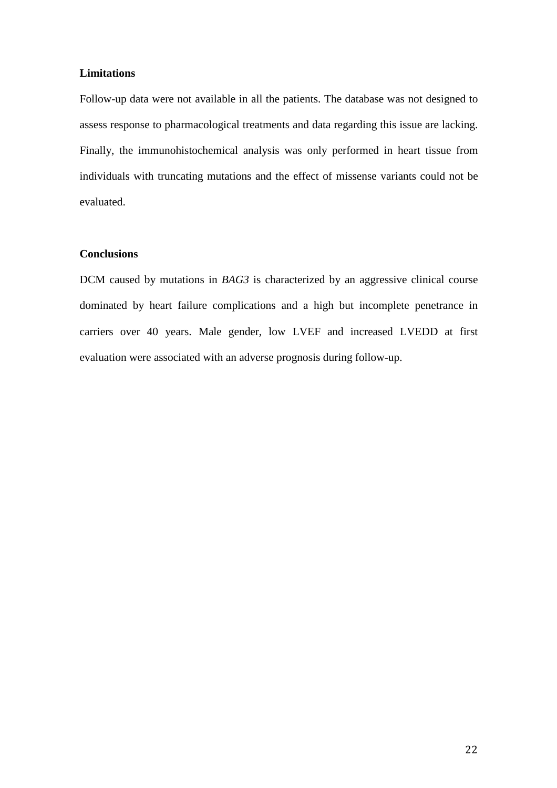# **Limitations**

Follow-up data were not available in all the patients. The database was not designed to assess response to pharmacological treatments and data regarding this issue are lacking. Finally, the immunohistochemical analysis was only performed in heart tissue from individuals with truncating mutations and the effect of missense variants could not be evaluated.

# **Conclusions**

DCM caused by mutations in *BAG3* is characterized by an aggressive clinical course dominated by heart failure complications and a high but incomplete penetrance in carriers over 40 years. Male gender, low LVEF and increased LVEDD at first evaluation were associated with an adverse prognosis during follow-up.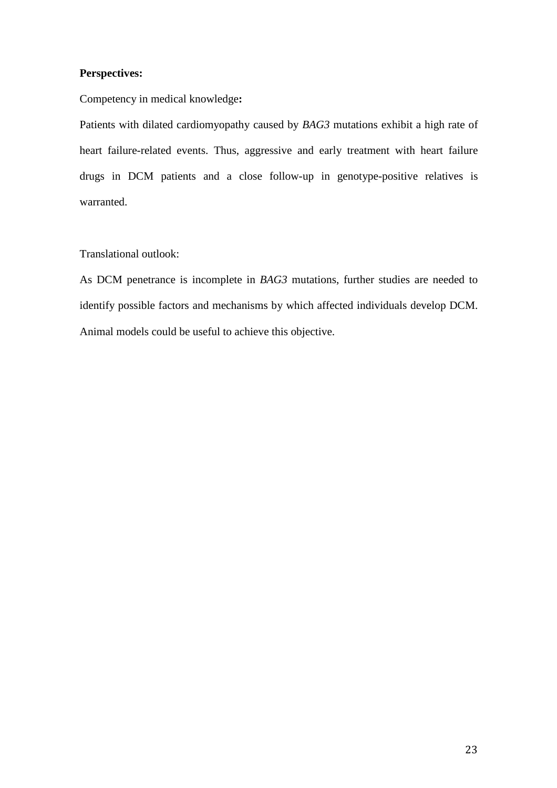# **Perspectives:**

Competency in medical knowledge**:** 

Patients with dilated cardiomyopathy caused by *BAG3* mutations exhibit a high rate of heart failure-related events. Thus, aggressive and early treatment with heart failure drugs in DCM patients and a close follow-up in genotype-positive relatives is warranted.

# Translational outlook:

As DCM penetrance is incomplete in *BAG3* mutations, further studies are needed to identify possible factors and mechanisms by which affected individuals develop DCM. Animal models could be useful to achieve this objective.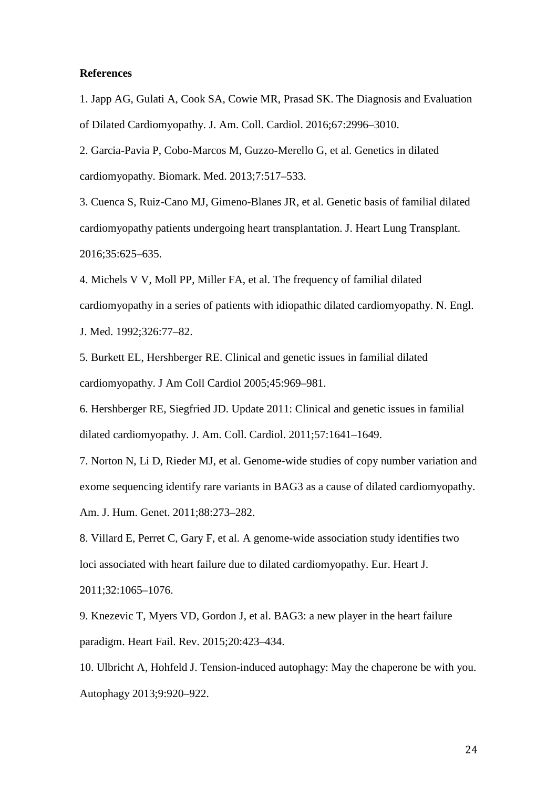### **References**

1. Japp AG, Gulati A, Cook SA, Cowie MR, Prasad SK. The Diagnosis and Evaluation of Dilated Cardiomyopathy. J. Am. Coll. Cardiol. 2016;67:2996–3010.

2. Garcia-Pavia P, Cobo-Marcos M, Guzzo-Merello G, et al. Genetics in dilated cardiomyopathy. Biomark. Med. 2013;7:517–533.

3. Cuenca S, Ruiz-Cano MJ, Gimeno-Blanes JR, et al. Genetic basis of familial dilated cardiomyopathy patients undergoing heart transplantation. J. Heart Lung Transplant. 2016;35:625–635.

4. Michels V V, Moll PP, Miller FA, et al. The frequency of familial dilated cardiomyopathy in a series of patients with idiopathic dilated cardiomyopathy. N. Engl. J. Med. 1992;326:77–82.

5. Burkett EL, Hershberger RE. Clinical and genetic issues in familial dilated cardiomyopathy. J Am Coll Cardiol 2005;45:969–981.

6. Hershberger RE, Siegfried JD. Update 2011: Clinical and genetic issues in familial dilated cardiomyopathy. J. Am. Coll. Cardiol. 2011;57:1641–1649.

7. Norton N, Li D, Rieder MJ, et al. Genome-wide studies of copy number variation and exome sequencing identify rare variants in BAG3 as a cause of dilated cardiomyopathy. Am. J. Hum. Genet. 2011;88:273–282.

8. Villard E, Perret C, Gary F, et al. A genome-wide association study identifies two loci associated with heart failure due to dilated cardiomyopathy. Eur. Heart J.

2011;32:1065–1076.

9. Knezevic T, Myers VD, Gordon J, et al. BAG3: a new player in the heart failure paradigm. Heart Fail. Rev. 2015;20:423–434.

10. Ulbricht A, Hohfeld J. Tension-induced autophagy: May the chaperone be with you. Autophagy 2013;9:920–922.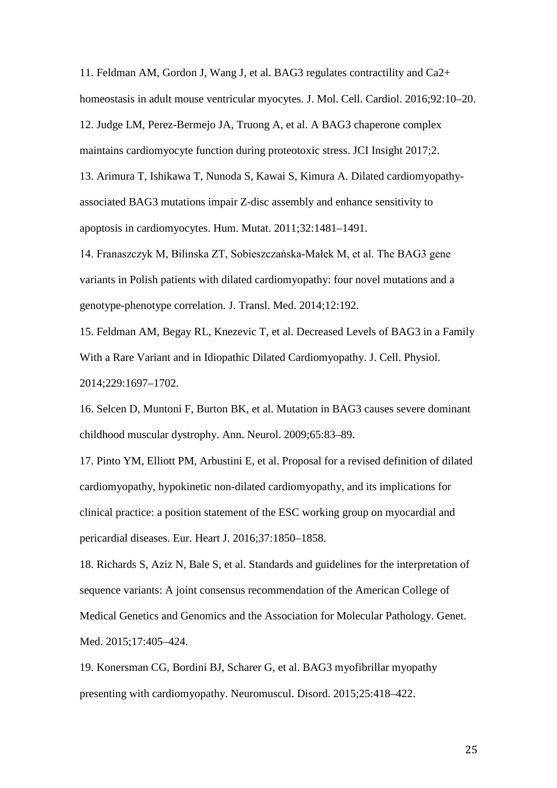11. Feldman AM, Gordon J, Wang J, et al. BAG3 regulates contractility and Ca2+ homeostasis in adult mouse ventricular myocytes. J. Mol. Cell. Cardiol. 2016;92:10–20. 12. Judge LM, Perez-Bermejo JA, Truong A, et al. A BAG3 chaperone complex maintains cardiomyocyte function during proteotoxic stress. JCI Insight 2017;2.

13. Arimura T, Ishikawa T, Nunoda S, Kawai S, Kimura A. Dilated cardiomyopathyassociated BAG3 mutations impair Z-disc assembly and enhance sensitivity to apoptosis in cardiomyocytes. Hum. Mutat. 2011;32:1481–1491.

14. Franaszczyk M, Bilinska ZT, Sobieszczańska-Małek M, et al. The BAG3 gene variants in Polish patients with dilated cardiomyopathy: four novel mutations and a genotype-phenotype correlation. J. Transl. Med. 2014;12:192.

15. Feldman AM, Begay RL, Knezevic T, et al. Decreased Levels of BAG3 in a Family With a Rare Variant and in Idiopathic Dilated Cardiomyopathy. J. Cell. Physiol. 2014;229:1697–1702.

16. Selcen D, Muntoni F, Burton BK, et al. Mutation in BAG3 causes severe dominant childhood muscular dystrophy. Ann. Neurol. 2009;65:83–89.

17. Pinto YM, Elliott PM, Arbustini E, et al. Proposal for a revised definition of dilated cardiomyopathy, hypokinetic non-dilated cardiomyopathy, and its implications for clinical practice: a position statement of the ESC working group on myocardial and pericardial diseases. Eur. Heart J. 2016;37:1850–1858.

18. Richards S, Aziz N, Bale S, et al. Standards and guidelines for the interpretation of sequence variants: A joint consensus recommendation of the American College of Medical Genetics and Genomics and the Association for Molecular Pathology. Genet. Med. 2015;17:405–424.

19. Konersman CG, Bordini BJ, Scharer G, et al. BAG3 myofibrillar myopathy presenting with cardiomyopathy. Neuromuscul. Disord. 2015;25:418–422.

25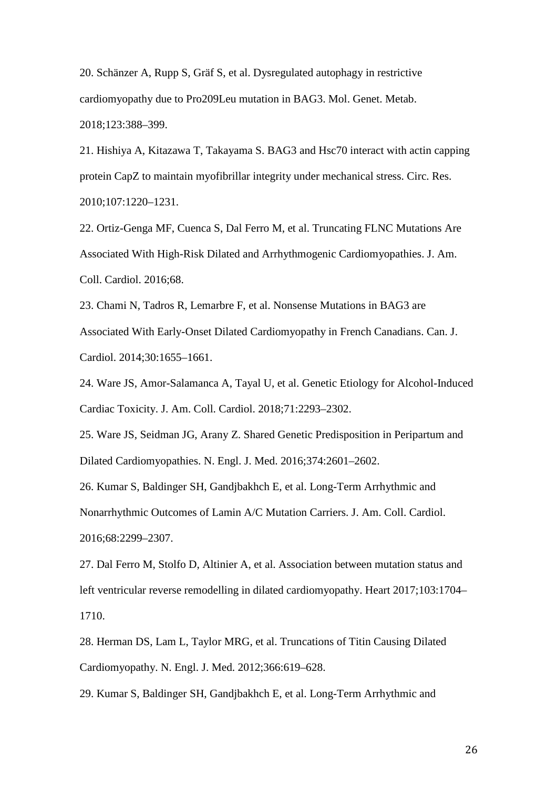20. Schänzer A, Rupp S, Gräf S, et al. Dysregulated autophagy in restrictive cardiomyopathy due to Pro209Leu mutation in BAG3. Mol. Genet. Metab. 2018;123:388–399.

21. Hishiya A, Kitazawa T, Takayama S. BAG3 and Hsc70 interact with actin capping protein CapZ to maintain myofibrillar integrity under mechanical stress. Circ. Res. 2010;107:1220–1231.

22. Ortiz-Genga MF, Cuenca S, Dal Ferro M, et al. Truncating FLNC Mutations Are Associated With High-Risk Dilated and Arrhythmogenic Cardiomyopathies. J. Am. Coll. Cardiol. 2016;68.

23. Chami N, Tadros R, Lemarbre F, et al. Nonsense Mutations in BAG3 are Associated With Early-Onset Dilated Cardiomyopathy in French Canadians. Can. J. Cardiol. 2014;30:1655–1661.

24. Ware JS, Amor-Salamanca A, Tayal U, et al. Genetic Etiology for Alcohol-Induced Cardiac Toxicity. J. Am. Coll. Cardiol. 2018;71:2293–2302.

25. Ware JS, Seidman JG, Arany Z. Shared Genetic Predisposition in Peripartum and Dilated Cardiomyopathies. N. Engl. J. Med. 2016;374:2601–2602.

26. Kumar S, Baldinger SH, Gandjbakhch E, et al. Long-Term Arrhythmic and Nonarrhythmic Outcomes of Lamin A/C Mutation Carriers. J. Am. Coll. Cardiol. 2016;68:2299–2307.

27. Dal Ferro M, Stolfo D, Altinier A, et al. Association between mutation status and left ventricular reverse remodelling in dilated cardiomyopathy. Heart 2017;103:1704– 1710.

28. Herman DS, Lam L, Taylor MRG, et al. Truncations of Titin Causing Dilated Cardiomyopathy. N. Engl. J. Med. 2012;366:619–628.

29. Kumar S, Baldinger SH, Gandjbakhch E, et al. Long-Term Arrhythmic and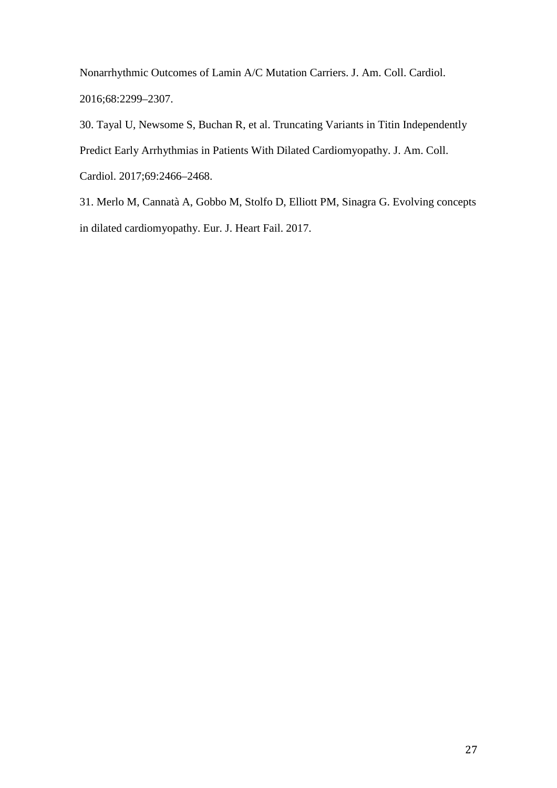Nonarrhythmic Outcomes of Lamin A/C Mutation Carriers. J. Am. Coll. Cardiol. 2016;68:2299–2307.

30. Tayal U, Newsome S, Buchan R, et al. Truncating Variants in Titin Independently Predict Early Arrhythmias in Patients With Dilated Cardiomyopathy. J. Am. Coll. Cardiol. 2017;69:2466–2468.

31. Merlo M, Cannatà A, Gobbo M, Stolfo D, Elliott PM, Sinagra G. Evolving concepts in dilated cardiomyopathy. Eur. J. Heart Fail. 2017.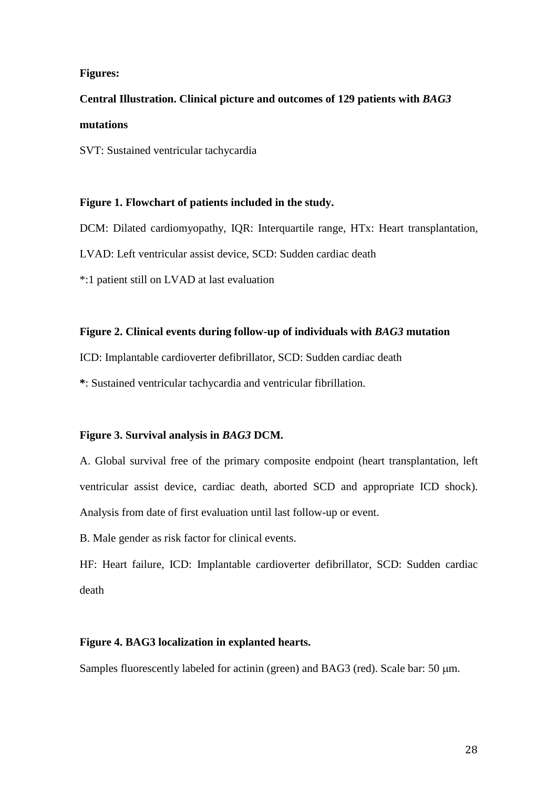# **Figures:**

# **Central Illustration. Clinical picture and outcomes of 129 patients with** *BAG3* **mutations**

SVT: Sustained ventricular tachycardia

# **Figure 1. Flowchart of patients included in the study.**

DCM: Dilated cardiomyopathy, IQR: Interquartile range, HTx: Heart transplantation,

LVAD: Left ventricular assist device, SCD: Sudden cardiac death

\*:1 patient still on LVAD at last evaluation

# **Figure 2. Clinical events during follow-up of individuals with** *BAG3* **mutation**

ICD: Implantable cardioverter defibrillator, SCD: Sudden cardiac death

**\***: Sustained ventricular tachycardia and ventricular fibrillation.

# **Figure 3. Survival analysis in** *BAG3* **DCM.**

A. Global survival free of the primary composite endpoint (heart transplantation, left ventricular assist device, cardiac death, aborted SCD and appropriate ICD shock). Analysis from date of first evaluation until last follow-up or event.

B. Male gender as risk factor for clinical events.

HF: Heart failure, ICD: Implantable cardioverter defibrillator, SCD: Sudden cardiac death

# **Figure 4. BAG3 localization in explanted hearts.**

Samples fluorescently labeled for actinin (green) and BAG3 (red). Scale bar: 50  $\mu$ m.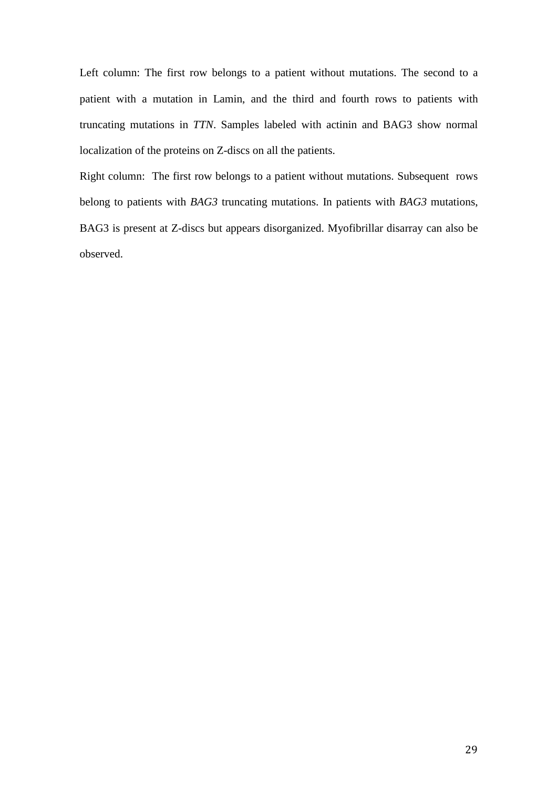Left column: The first row belongs to a patient without mutations. The second to a patient with a mutation in Lamin, and the third and fourth rows to patients with truncating mutations in *TTN*. Samples labeled with actinin and BAG3 show normal localization of the proteins on Z-discs on all the patients.

Right column: The first row belongs to a patient without mutations. Subsequent rows belong to patients with *BAG3* truncating mutations. In patients with *BAG3* mutations, BAG3 is present at Z-discs but appears disorganized. Myofibrillar disarray can also be observed.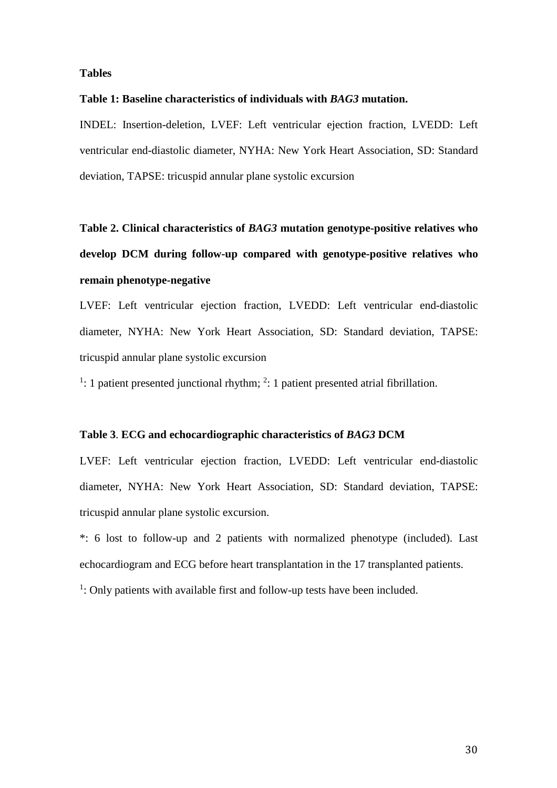# **Tables**

### **Table 1: Baseline characteristics of individuals with** *BAG3* **mutation.**

INDEL: Insertion-deletion, LVEF: Left ventricular ejection fraction, LVEDD: Left ventricular end-diastolic diameter, NYHA: New York Heart Association, SD: Standard deviation, TAPSE: tricuspid annular plane systolic excursion

**Table 2. Clinical characteristics of** *BAG3* **mutation genotype-positive relatives who develop DCM during follow-up compared with genotype-positive relatives who remain phenotype-negative** 

LVEF: Left ventricular ejection fraction, LVEDD: Left ventricular end-diastolic diameter, NYHA: New York Heart Association, SD: Standard deviation, TAPSE: tricuspid annular plane systolic excursion

 $\frac{1}{1}$ : 1 patient presented junctional rhythm;  $\frac{2}{1}$ : 1 patient presented atrial fibrillation.

# **Table 3**. **ECG and echocardiographic characteristics of** *BAG3* **DCM**

LVEF: Left ventricular ejection fraction, LVEDD: Left ventricular end-diastolic diameter, NYHA: New York Heart Association, SD: Standard deviation, TAPSE: tricuspid annular plane systolic excursion.

\*: 6 lost to follow-up and 2 patients with normalized phenotype (included). Last echocardiogram and ECG before heart transplantation in the 17 transplanted patients.

<sup>1</sup>: Only patients with available first and follow-up tests have been included.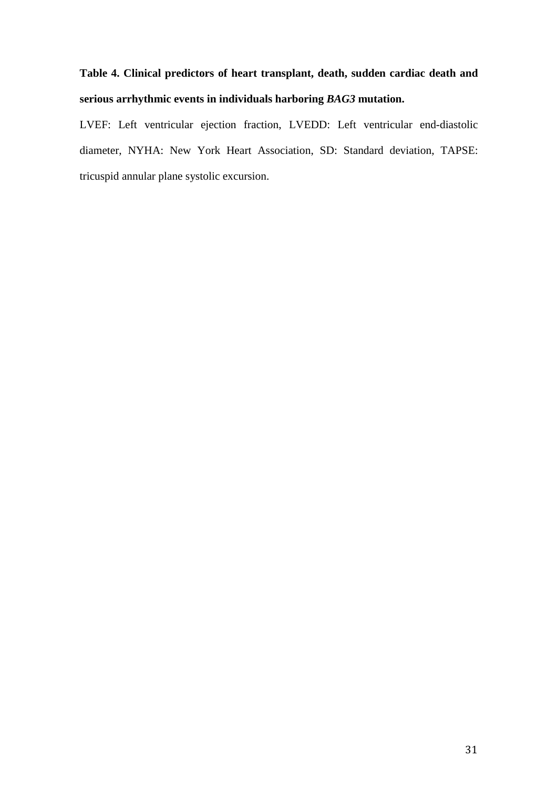# **Table 4. Clinical predictors of heart transplant, death, sudden cardiac death and serious arrhythmic events in individuals harboring** *BAG3* **mutation.**

LVEF: Left ventricular ejection fraction, LVEDD: Left ventricular end-diastolic diameter, NYHA: New York Heart Association, SD: Standard deviation, TAPSE: tricuspid annular plane systolic excursion.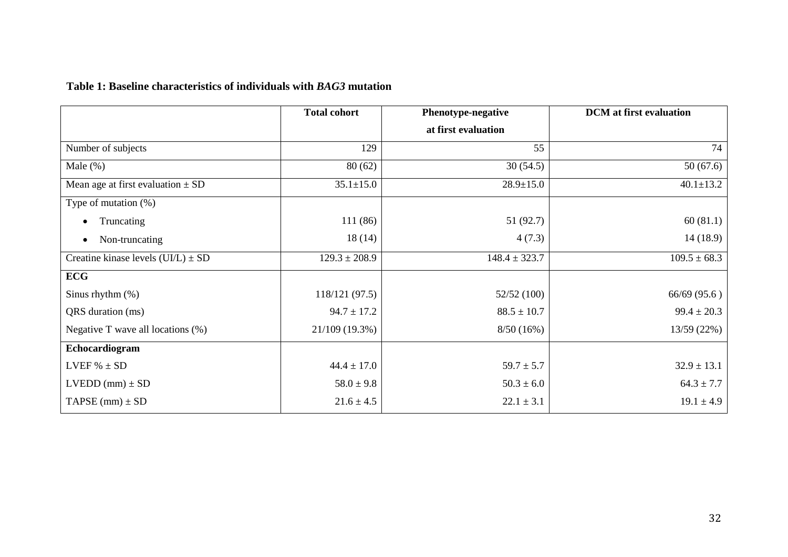# **Table 1: Baseline characteristics of individuals with** *BAG3* **mutation**

|                                        | <b>Total cohort</b> | <b>Phenotype-negative</b> | <b>DCM</b> at first evaluation |
|----------------------------------------|---------------------|---------------------------|--------------------------------|
|                                        |                     | at first evaluation       |                                |
| Number of subjects                     | 129                 | 55                        | 74                             |
| Male $(\%)$                            | 80(62)              | 30(54.5)                  | 50(67.6)                       |
| Mean age at first evaluation $\pm$ SD  | $35.1 \pm 15.0$     | $28.9 \pm 15.0$           | $40.1 \pm 13.2$                |
| Type of mutation $(\%)$                |                     |                           |                                |
| Truncating                             | 111 (86)            | 51 (92.7)                 | 60(81.1)                       |
| Non-truncating<br>$\bullet$            | 18(14)              | 4(7.3)                    | 14(18.9)                       |
| Creatine kinase levels $(UI/L) \pm SD$ | $129.3 \pm 208.9$   | $148.4 \pm 323.7$         | $109.5 \pm 68.3$               |
| <b>ECG</b>                             |                     |                           |                                |
| Sinus rhythm $(\%)$                    | 118/121 (97.5)      | 52/52 (100)               | 66/69(95.6)                    |
| QRS duration (ms)                      | $94.7 \pm 17.2$     | $88.5 \pm 10.7$           | $99.4 \pm 20.3$                |
| Negative T wave all locations $(\%)$   | 21/109 (19.3%)      | 8/50(16%)                 | 13/59 (22%)                    |
| Echocardiogram                         |                     |                           |                                |
| LVEF $% \pm SD$                        | $44.4 \pm 17.0$     | $59.7 \pm 5.7$            | $32.9 \pm 13.1$                |
| $LVEDD$ (mm) $\pm SD$                  | $58.0 \pm 9.8$      | $50.3 \pm 6.0$            | $64.3 \pm 7.7$                 |
| TAPSE $(mm) \pm SD$                    | $21.6 \pm 4.5$      | $22.1 \pm 3.1$            | $19.1 \pm 4.9$                 |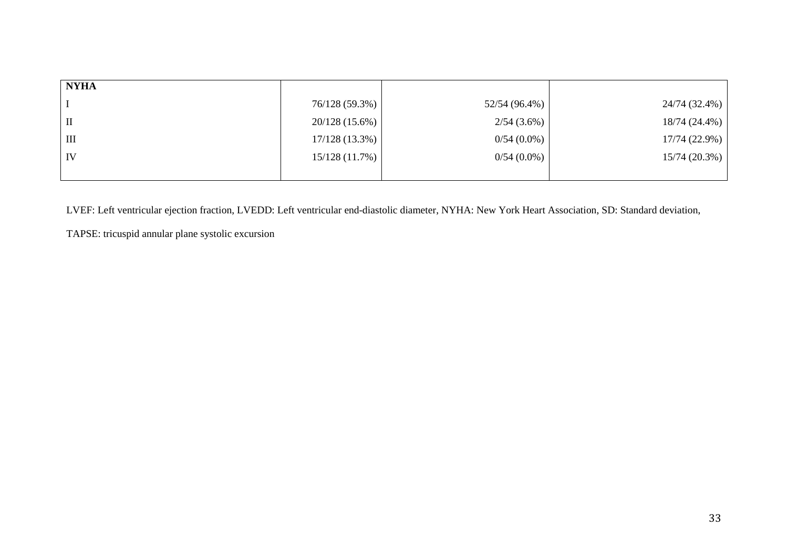| <b>NYHA</b>        |                  |               |               |
|--------------------|------------------|---------------|---------------|
|                    | 76/128 (59.3%)   | 52/54 (96.4%) | 24/74 (32.4%) |
| $\mathbf{I}$       | $20/128(15.6\%)$ | 2/54(3.6%)    | 18/74 (24.4%) |
| $\mathop{\rm III}$ | $17/128(13.3\%)$ | $0/54(0.0\%)$ | 17/74 (22.9%) |
| IV                 | 15/128(11.7%)    | $0/54(0.0\%)$ | 15/74(20.3%)  |
|                    |                  |               |               |

LVEF: Left ventricular ejection fraction, LVEDD: Left ventricular end-diastolic diameter, NYHA: New York Heart Association, SD: Standard deviation,

TAPSE: tricuspid annular plane systolic excursion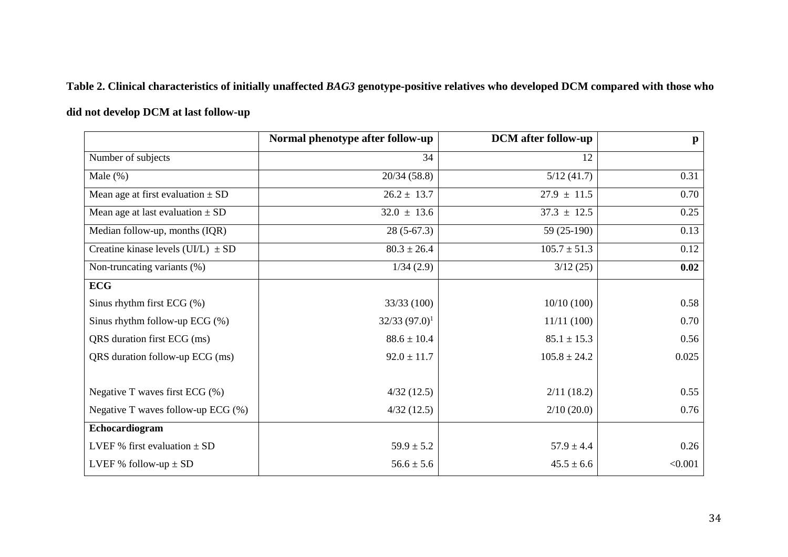# **Table 2. Clinical characteristics of initially unaffected** *BAG3* **genotype-positive relatives who developed DCM compared with those who**

# **did not develop DCM at last follow-up**

|                                        | Normal phenotype after follow-up | <b>DCM</b> after follow-up | $\mathbf{p}$ |
|----------------------------------------|----------------------------------|----------------------------|--------------|
| Number of subjects                     | 34                               | 12                         |              |
| Male $(\%)$                            | 20/34(58.8)                      | 5/12(41.7)                 | 0.31         |
| Mean age at first evaluation $\pm$ SD  | $26.2 \pm 13.7$                  | $27.9 \pm 11.5$            | 0.70         |
| Mean age at last evaluation $\pm$ SD   | $32.0 \pm 13.6$                  | $37.3 \pm 12.5$            | 0.25         |
| Median follow-up, months (IQR)         | $28(5-67.3)$                     | 59 (25-190)                | 0.13         |
| Creatine kinase levels (UI/L) $\pm$ SD | $80.3 \pm 26.4$                  | $105.7 \pm 51.3$           | 0.12         |
| Non-truncating variants (%)            | 1/34(2.9)                        | 3/12(25)                   | 0.02         |
| <b>ECG</b>                             |                                  |                            |              |
| Sinus rhythm first ECG (%)             | 33/33 (100)                      | 10/10(100)                 | 0.58         |
| Sinus rhythm follow-up ECG (%)         | $32/33(97.0)^1$                  | 11/11(100)                 | 0.70         |
| QRS duration first ECG (ms)            | $88.6 \pm 10.4$                  | $85.1 \pm 15.3$            | 0.56         |
| QRS duration follow-up ECG (ms)        | $92.0 \pm 11.7$                  | $105.8 \pm 24.2$           | 0.025        |
|                                        |                                  |                            |              |
| Negative T waves first ECG (%)         | 4/32(12.5)                       | 2/11(18.2)                 | 0.55         |
| Negative T waves follow-up ECG $(\%)$  | 4/32(12.5)                       | 2/10(20.0)                 | 0.76         |
| Echocardiogram                         |                                  |                            |              |
| LVEF % first evaluation $\pm$ SD       | $59.9 \pm 5.2$                   | $57.9 \pm 4.4$             | 0.26         |
| LVEF % follow-up $\pm$ SD              | $56.6 \pm 5.6$                   | $45.5 \pm 6.6$             | < 0.001      |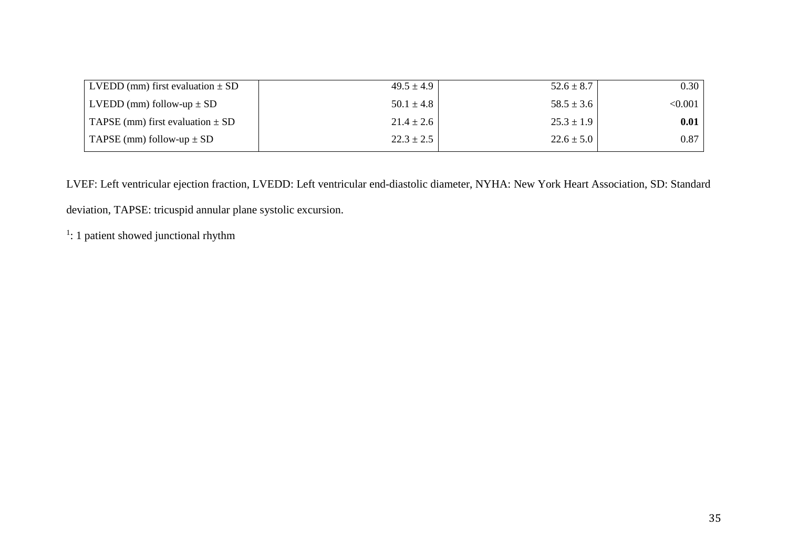| LVEDD (mm) first evaluation $\pm$ SD | $49.5 \pm 4.9$ | $52.6 \pm 8.7$ | 0.30    |
|--------------------------------------|----------------|----------------|---------|
| LVEDD (mm) follow-up $\pm$ SD        | $50.1 \pm 4.8$ | $58.5 \pm 3.6$ | < 0.001 |
| TAPSE (mm) first evaluation $\pm$ SD | $21.4 \pm 2.6$ | $25.3 \pm 1.9$ | 0.01    |
| TAPSE (mm) follow-up $\pm$ SD        | $22.3 \pm 2.5$ | $22.6 \pm 5.0$ | 0.87    |

LVEF: Left ventricular ejection fraction, LVEDD: Left ventricular end-diastolic diameter, NYHA: New York Heart Association, SD: Standard deviation, TAPSE: tricuspid annular plane systolic excursion.

 $\frac{1}{1}$ : 1 patient showed junctional rhythm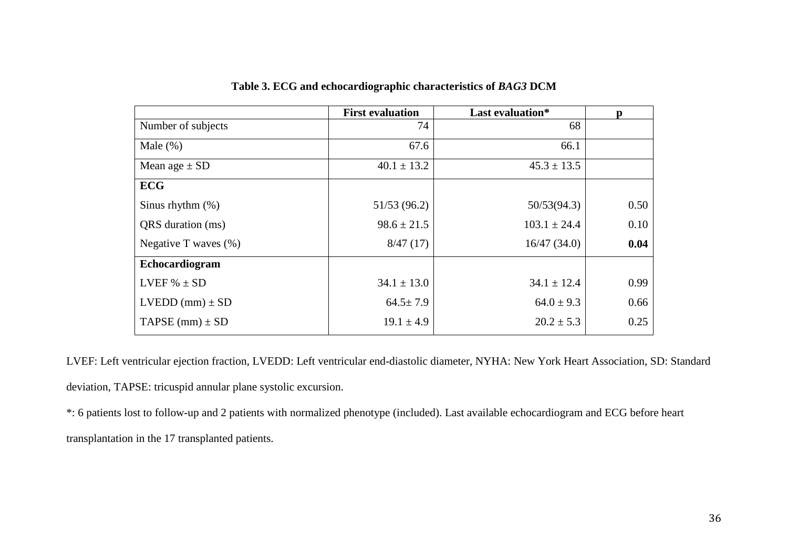|                          | <b>First evaluation</b> | Last evaluation* | n    |
|--------------------------|-------------------------|------------------|------|
| Number of subjects       | 74                      | 68               |      |
| Male $(\%)$              | 67.6                    | 66.1             |      |
| Mean age $\pm$ SD        | $40.1 \pm 13.2$         | $45.3 \pm 13.5$  |      |
| <b>ECG</b>               |                         |                  |      |
| Sinus rhythm $(\%)$      | 51/53(96.2)             | 50/53(94.3)      | 0.50 |
| QRS duration (ms)        | $98.6 \pm 21.5$         | $103.1 \pm 24.4$ | 0.10 |
| Negative T waves $(\% )$ | 8/47(17)                | 16/47(34.0)      | 0.04 |
| Echocardiogram           |                         |                  |      |
| LVEF $% \pm SD$          | $34.1 \pm 13.0$         | $34.1 \pm 12.4$  | 0.99 |
| $LVEDD$ (mm) $\pm$ SD    | $64.5 \pm 7.9$          | $64.0 \pm 9.3$   | 0.66 |
| TAPSE (mm) $\pm$ SD      | $19.1 \pm 4.9$          | $20.2 \pm 5.3$   | 0.25 |

**Table 3. ECG and echocardiographic characteristics of** *BAG3* **DCM** 

LVEF: Left ventricular ejection fraction, LVEDD: Left ventricular end-diastolic diameter, NYHA: New York Heart Association, SD: Standard deviation, TAPSE: tricuspid annular plane systolic excursion.

\*: 6 patients lost to follow-up and 2 patients with normalized phenotype (included). Last available echocardiogram and ECG before heart transplantation in the 17 transplanted patients.